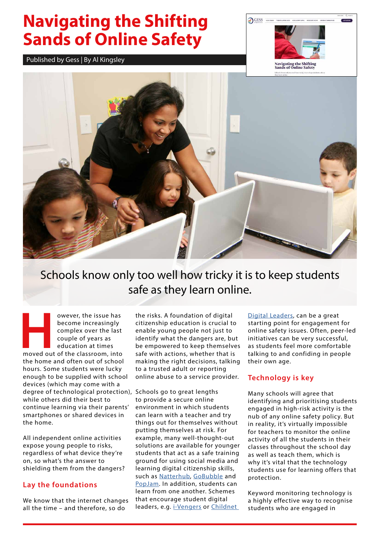# **Navigating the Shifting Sands of Online Safety**

Published by Gess | By Al Kingsley





# Schools know only too well how tricky it is to keep students safe as they learn online.

**However, the issue has become increasingly complex over the last couple of years as education at times moved out of the classroom, into** become increasingly complex over the last couple of years as education at times the home and often out of school hours. Some students were lucky enough to be supplied with school devices (which may come with a degree of technological protection), Schools go to great lengths while others did their best to continue learning via their parents' smartphones or shared devices in the home.

All independent online activities expose young people to risks, regardless of what device they're on, so what's the answer to shielding them from the dangers?

# **Lay the foundations**

We know that the internet changes all the time – and therefore, so do

the risks. A foundation of digital citizenship education is crucial to enable young people not just to identify what the dangers are, but be empowered to keep themselves safe with actions, whether that is making the right decisions, talking to a trusted adult or reporting online abuse to a service provider.

to provide a secure online environment in which students can learn with a teacher and try things out for themselves without putting themselves at risk. For example, many well-thought-out solutions are available for younger students that act as a safe training ground for using social media and learning digital citizenship skills, such as [Natterhub,](https://natterhub.com/) [GoBubble](https://gobubble.school/home) and [PopJam](https://www.popjam.com/). In addition, students can learn from one another. Schemes that encourage student digital leaders, e.g. [i-Vengers](https://i-vengers.org.uk/) or [Childnet](https://www.childnet.com/what-we-do/our-projects/childnet-digital-leaders-programme/) 

[Digital Leaders](https://www.childnet.com/what-we-do/our-projects/childnet-digital-leaders-programme/), can be a great starting point for engagement for online safety issues. Often, peer-led initiatives can be very successful, as students feel more comfortable talking to and confiding in people their own age.

# **Technology is key**

Many schools will agree that identifying and prioritising students engaged in high-risk activity is the nub of any online safety policy. But in reality, it's virtually impossible for teachers to monitor the online activity of all the students in their classes throughout the school day as well as teach them, which is why it's vital that the technology students use for learning offers that protection.

Keyword monitoring technology is a highly effective way to recognise students who are engaged in